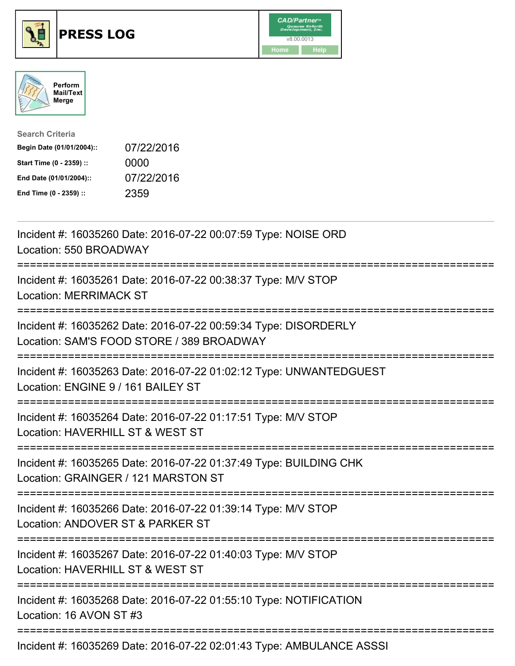





| <b>Search Criteria</b>    |            |
|---------------------------|------------|
| Begin Date (01/01/2004):: | 07/22/2016 |
| Start Time (0 - 2359) ::  | 0000       |
| End Date (01/01/2004)::   | 07/22/2016 |
| End Time (0 - 2359) ::    | 2359       |

| Incident #: 16035260 Date: 2016-07-22 00:07:59 Type: NOISE ORD<br>Location: 550 BROADWAY                                                           |
|----------------------------------------------------------------------------------------------------------------------------------------------------|
| Incident #: 16035261 Date: 2016-07-22 00:38:37 Type: M/V STOP<br><b>Location: MERRIMACK ST</b>                                                     |
| Incident #: 16035262 Date: 2016-07-22 00:59:34 Type: DISORDERLY<br>Location: SAM'S FOOD STORE / 389 BROADWAY<br>================================== |
| Incident #: 16035263 Date: 2016-07-22 01:02:12 Type: UNWANTEDGUEST<br>Location: ENGINE 9 / 161 BAILEY ST<br>---------------                        |
| Incident #: 16035264 Date: 2016-07-22 01:17:51 Type: M/V STOP<br>Location: HAVERHILL ST & WEST ST<br>:=======================                      |
| Incident #: 16035265 Date: 2016-07-22 01:37:49 Type: BUILDING CHK<br>Location: GRAINGER / 121 MARSTON ST                                           |
| Incident #: 16035266 Date: 2016-07-22 01:39:14 Type: M/V STOP<br>Location: ANDOVER ST & PARKER ST<br>:============================                 |
| Incident #: 16035267 Date: 2016-07-22 01:40:03 Type: M/V STOP<br>Location: HAVERHILL ST & WEST ST<br>=============================                 |
| Incident #: 16035268 Date: 2016-07-22 01:55:10 Type: NOTIFICATION<br>Location: 16 AVON ST #3                                                       |
| Incident #: 16035269 Date: 2016-07-22 02:01:43 Type: AMBULANCE ASSSI                                                                               |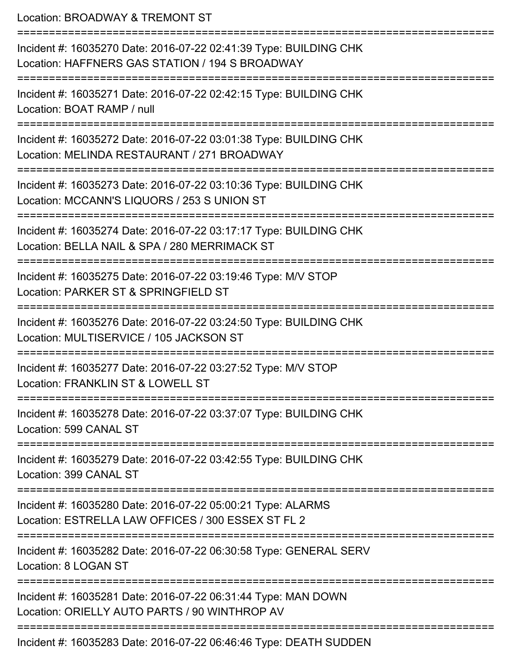Location: BROADWAY & TREMONT ST =========================================================================== Incident #: 16035270 Date: 2016-07-22 02:41:39 Type: BUILDING CHK Location: HAFFNERS GAS STATION / 194 S BROADWAY =========================================================================== Incident #: 16035271 Date: 2016-07-22 02:42:15 Type: BUILDING CHK Location: BOAT RAMP / null =========================================================================== Incident #: 16035272 Date: 2016-07-22 03:01:38 Type: BUILDING CHK Location: MELINDA RESTAURANT / 271 BROADWAY =========================================================================== Incident #: 16035273 Date: 2016-07-22 03:10:36 Type: BUILDING CHK Location: MCCANN'S LIQUORS / 253 S UNION ST ========================= Incident #: 16035274 Date: 2016-07-22 03:17:17 Type: BUILDING CHK Location: BELLA NAIL & SPA / 280 MERRIMACK ST =========================================================================== Incident #: 16035275 Date: 2016-07-22 03:19:46 Type: M/V STOP Location: PARKER ST & SPRINGFIELD ST =========================================================================== Incident #: 16035276 Date: 2016-07-22 03:24:50 Type: BUILDING CHK Location: MULTISERVICE / 105 JACKSON ST =========================================================================== Incident #: 16035277 Date: 2016-07-22 03:27:52 Type: M/V STOP Location: FRANKLIN ST & LOWELL ST =========================================================================== Incident #: 16035278 Date: 2016-07-22 03:37:07 Type: BUILDING CHK Location: 599 CANAL ST =========================================================================== Incident #: 16035279 Date: 2016-07-22 03:42:55 Type: BUILDING CHK Location: 399 CANAL ST =========================================================================== Incident #: 16035280 Date: 2016-07-22 05:00:21 Type: ALARMS Location: ESTRELLA LAW OFFICES / 300 ESSEX ST FL 2 =========================================================================== Incident #: 16035282 Date: 2016-07-22 06:30:58 Type: GENERAL SERV Location: 8 LOGAN ST =========================================================================== Incident #: 16035281 Date: 2016-07-22 06:31:44 Type: MAN DOWN Location: ORIELLY AUTO PARTS / 90 WINTHROP AV =========================================================================== Incident #: 16035283 Date: 2016-07-22 06:46:46 Type: DEATH SUDDEN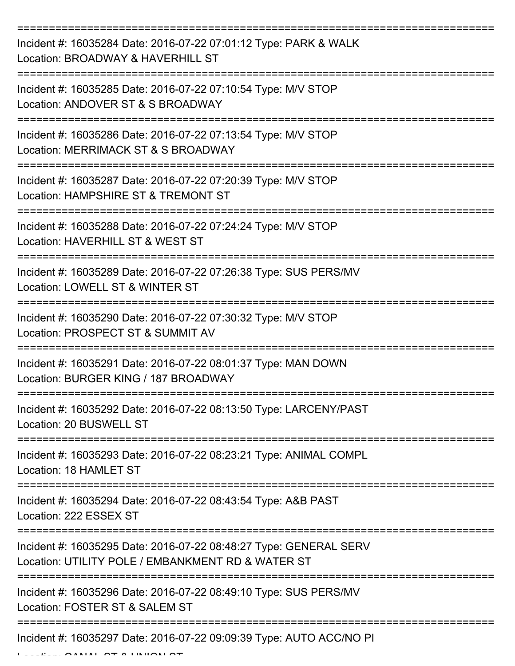| Incident #: 16035284 Date: 2016-07-22 07:01:12 Type: PARK & WALK<br>Location: BROADWAY & HAVERHILL ST                  |
|------------------------------------------------------------------------------------------------------------------------|
| Incident #: 16035285 Date: 2016-07-22 07:10:54 Type: M/V STOP<br>Location: ANDOVER ST & S BROADWAY                     |
| Incident #: 16035286 Date: 2016-07-22 07:13:54 Type: M/V STOP<br>Location: MERRIMACK ST & S BROADWAY                   |
| Incident #: 16035287 Date: 2016-07-22 07:20:39 Type: M/V STOP<br>Location: HAMPSHIRE ST & TREMONT ST                   |
| Incident #: 16035288 Date: 2016-07-22 07:24:24 Type: M/V STOP<br>Location: HAVERHILL ST & WEST ST                      |
| Incident #: 16035289 Date: 2016-07-22 07:26:38 Type: SUS PERS/MV<br>Location: LOWELL ST & WINTER ST                    |
| Incident #: 16035290 Date: 2016-07-22 07:30:32 Type: M/V STOP<br>Location: PROSPECT ST & SUMMIT AV                     |
| Incident #: 16035291 Date: 2016-07-22 08:01:37 Type: MAN DOWN<br>Location: BURGER KING / 187 BROADWAY                  |
| Incident #: 16035292 Date: 2016-07-22 08:13:50 Type: LARCENY/PAST<br>Location: 20 BUSWELL ST                           |
| Incident #: 16035293 Date: 2016-07-22 08:23:21 Type: ANIMAL COMPL<br>Location: 18 HAMLET ST                            |
| Incident #: 16035294 Date: 2016-07-22 08:43:54 Type: A&B PAST<br>Location: 222 ESSEX ST                                |
| Incident #: 16035295 Date: 2016-07-22 08:48:27 Type: GENERAL SERV<br>Location: UTILITY POLE / EMBANKMENT RD & WATER ST |
| Incident #: 16035296 Date: 2016-07-22 08:49:10 Type: SUS PERS/MV<br>Location: FOSTER ST & SALEM ST                     |
| Incident #: 16035297 Date: 2016-07-22 09:09:39 Type: AUTO ACC/NO PI                                                    |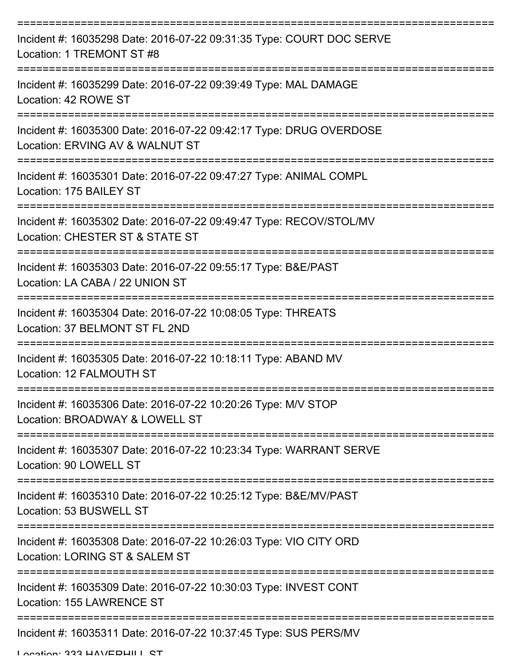| Incident #: 16035298 Date: 2016-07-22 09:31:35 Type: COURT DOC SERVE<br>Location: 1 TREMONT ST #8     |
|-------------------------------------------------------------------------------------------------------|
| Incident #: 16035299 Date: 2016-07-22 09:39:49 Type: MAL DAMAGE<br>Location: 42 ROWE ST               |
| Incident #: 16035300 Date: 2016-07-22 09:42:17 Type: DRUG OVERDOSE<br>Location: ERVING AV & WALNUT ST |
| Incident #: 16035301 Date: 2016-07-22 09:47:27 Type: ANIMAL COMPL<br>Location: 175 BAILEY ST          |
| Incident #: 16035302 Date: 2016-07-22 09:49:47 Type: RECOV/STOL/MV<br>Location: CHESTER ST & STATE ST |
| Incident #: 16035303 Date: 2016-07-22 09:55:17 Type: B&E/PAST<br>Location: LA CABA / 22 UNION ST      |
| Incident #: 16035304 Date: 2016-07-22 10:08:05 Type: THREATS<br>Location: 37 BELMONT ST FL 2ND        |
| Incident #: 16035305 Date: 2016-07-22 10:18:11 Type: ABAND MV<br>Location: 12 FALMOUTH ST             |
| Incident #: 16035306 Date: 2016-07-22 10:20:26 Type: M/V STOP<br>Location: BROADWAY & LOWELL ST       |
| Incident #: 16035307 Date: 2016-07-22 10:23:34 Type: WARRANT SERVE<br>Location: 90 LOWELL ST          |
| Incident #: 16035310 Date: 2016-07-22 10:25:12 Type: B&E/MV/PAST<br>Location: 53 BUSWELL ST           |
| Incident #: 16035308 Date: 2016-07-22 10:26:03 Type: VIO CITY ORD<br>Location: LORING ST & SALEM ST   |
| Incident #: 16035309 Date: 2016-07-22 10:30:03 Type: INVEST CONT<br>Location: 155 LAWRENCE ST         |
| Incident #: 16035311 Date: 2016-07-22 10:37:45 Type: SUS PERS/MV                                      |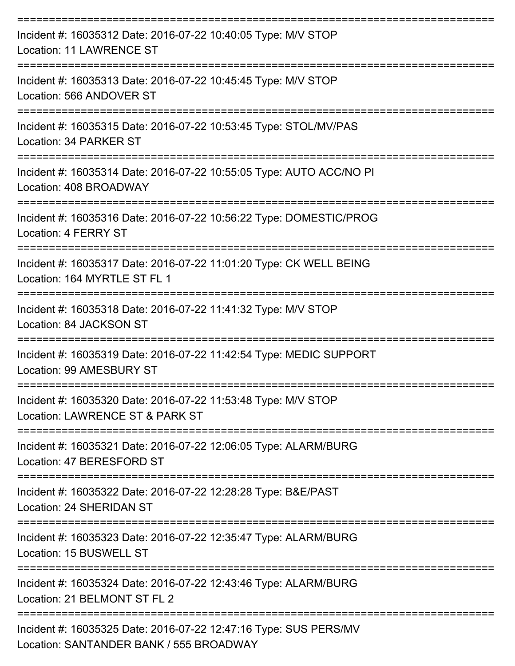| Incident #: 16035312 Date: 2016-07-22 10:40:05 Type: M/V STOP<br><b>Location: 11 LAWRENCE ST</b>            |
|-------------------------------------------------------------------------------------------------------------|
| Incident #: 16035313 Date: 2016-07-22 10:45:45 Type: M/V STOP<br>Location: 566 ANDOVER ST                   |
| Incident #: 16035315 Date: 2016-07-22 10:53:45 Type: STOL/MV/PAS<br>Location: 34 PARKER ST                  |
| Incident #: 16035314 Date: 2016-07-22 10:55:05 Type: AUTO ACC/NO PI<br>Location: 408 BROADWAY               |
| Incident #: 16035316 Date: 2016-07-22 10:56:22 Type: DOMESTIC/PROG<br>Location: 4 FERRY ST                  |
| Incident #: 16035317 Date: 2016-07-22 11:01:20 Type: CK WELL BEING<br>Location: 164 MYRTLE ST FL 1          |
| Incident #: 16035318 Date: 2016-07-22 11:41:32 Type: M/V STOP<br>Location: 84 JACKSON ST                    |
| Incident #: 16035319 Date: 2016-07-22 11:42:54 Type: MEDIC SUPPORT<br>Location: 99 AMESBURY ST              |
| Incident #: 16035320 Date: 2016-07-22 11:53:48 Type: M/V STOP<br>Location: LAWRENCE ST & PARK ST            |
| Incident #: 16035321 Date: 2016-07-22 12:06:05 Type: ALARM/BURG<br>Location: 47 BERESFORD ST                |
| Incident #: 16035322 Date: 2016-07-22 12:28:28 Type: B&E/PAST<br>Location: 24 SHERIDAN ST                   |
| Incident #: 16035323 Date: 2016-07-22 12:35:47 Type: ALARM/BURG<br>Location: 15 BUSWELL ST                  |
| Incident #: 16035324 Date: 2016-07-22 12:43:46 Type: ALARM/BURG<br>Location: 21 BELMONT ST FL 2             |
| Incident #: 16035325 Date: 2016-07-22 12:47:16 Type: SUS PERS/MV<br>Location: SANTANDER BANK / 555 BROADWAY |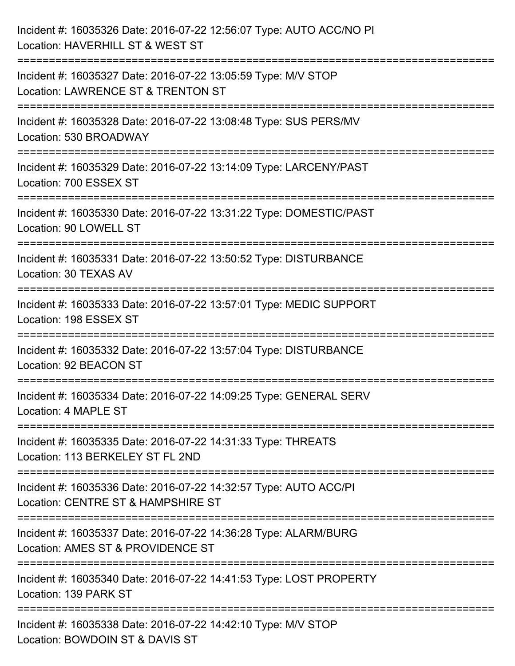| Incident #: 16035326 Date: 2016-07-22 12:56:07 Type: AUTO ACC/NO PI<br>Location: HAVERHILL ST & WEST ST                                                           |
|-------------------------------------------------------------------------------------------------------------------------------------------------------------------|
| Incident #: 16035327 Date: 2016-07-22 13:05:59 Type: M/V STOP<br>Location: LAWRENCE ST & TRENTON ST                                                               |
| Incident #: 16035328 Date: 2016-07-22 13:08:48 Type: SUS PERS/MV<br>Location: 530 BROADWAY                                                                        |
| Incident #: 16035329 Date: 2016-07-22 13:14:09 Type: LARCENY/PAST<br>Location: 700 ESSEX ST                                                                       |
| Incident #: 16035330 Date: 2016-07-22 13:31:22 Type: DOMESTIC/PAST<br>Location: 90 LOWELL ST<br>.====================================<br>------------------------ |
| Incident #: 16035331 Date: 2016-07-22 13:50:52 Type: DISTURBANCE<br>Location: 30 TEXAS AV                                                                         |
| Incident #: 16035333 Date: 2016-07-22 13:57:01 Type: MEDIC SUPPORT<br>Location: 198 ESSEX ST                                                                      |
| Incident #: 16035332 Date: 2016-07-22 13:57:04 Type: DISTURBANCE<br>Location: 92 BEACON ST                                                                        |
| Incident #: 16035334 Date: 2016-07-22 14:09:25 Type: GENERAL SERV<br>Location: 4 MAPLE ST                                                                         |
| Incident #: 16035335 Date: 2016-07-22 14:31:33 Type: THREATS<br>Location: 113 BERKELEY ST FL 2ND                                                                  |
| Incident #: 16035336 Date: 2016-07-22 14:32:57 Type: AUTO ACC/PI<br>Location: CENTRE ST & HAMPSHIRE ST                                                            |
| Incident #: 16035337 Date: 2016-07-22 14:36:28 Type: ALARM/BURG<br>Location: AMES ST & PROVIDENCE ST                                                              |
| Incident #: 16035340 Date: 2016-07-22 14:41:53 Type: LOST PROPERTY<br>Location: 139 PARK ST                                                                       |
| Incident #: 16035338 Date: 2016-07-22 14:42:10 Type: M/V STOP<br>Location: BOWDOIN ST & DAVIS ST                                                                  |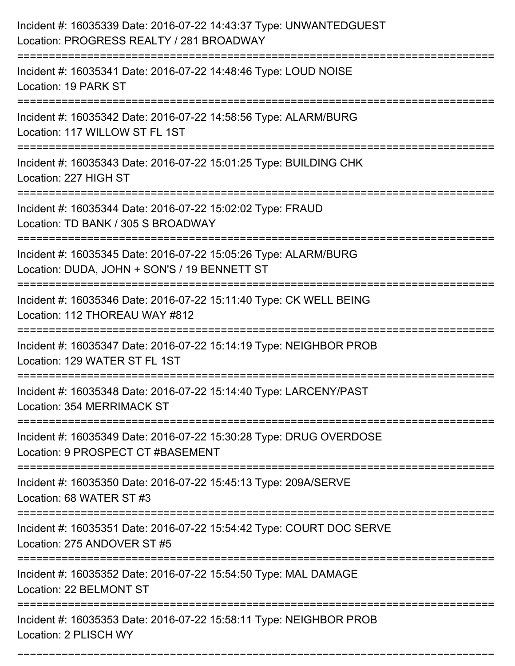| Incident #: 16035339 Date: 2016-07-22 14:43:37 Type: UNWANTEDGUEST<br>Location: PROGRESS REALTY / 281 BROADWAY                               |
|----------------------------------------------------------------------------------------------------------------------------------------------|
| Incident #: 16035341 Date: 2016-07-22 14:48:46 Type: LOUD NOISE<br>Location: 19 PARK ST                                                      |
| Incident #: 16035342 Date: 2016-07-22 14:58:56 Type: ALARM/BURG<br>Location: 117 WILLOW ST FL 1ST                                            |
| Incident #: 16035343 Date: 2016-07-22 15:01:25 Type: BUILDING CHK<br>Location: 227 HIGH ST                                                   |
| Incident #: 16035344 Date: 2016-07-22 15:02:02 Type: FRAUD<br>Location: TD BANK / 305 S BROADWAY<br>-----------------------                  |
| Incident #: 16035345 Date: 2016-07-22 15:05:26 Type: ALARM/BURG<br>Location: DUDA, JOHN + SON'S / 19 BENNETT ST                              |
| Incident #: 16035346 Date: 2016-07-22 15:11:40 Type: CK WELL BEING<br>Location: 112 THOREAU WAY #812                                         |
| Incident #: 16035347 Date: 2016-07-22 15:14:19 Type: NEIGHBOR PROB<br>Location: 129 WATER ST FL 1ST                                          |
| Incident #: 16035348 Date: 2016-07-22 15:14:40 Type: LARCENY/PAST<br>Location: 354 MERRIMACK ST                                              |
| Incident #: 16035349 Date: 2016-07-22 15:30:28 Type: DRUG OVERDOSE<br>Location: 9 PROSPECT CT #BASEMENT                                      |
| Incident #: 16035350 Date: 2016-07-22 15:45:13 Type: 209A/SERVE<br>Location: 68 WATER ST #3                                                  |
| Incident #: 16035351 Date: 2016-07-22 15:54:42 Type: COURT DOC SERVE<br>Location: 275 ANDOVER ST #5<br>===================================== |
| Incident #: 16035352 Date: 2016-07-22 15:54:50 Type: MAL DAMAGE<br>Location: 22 BELMONT ST                                                   |
| Incident #: 16035353 Date: 2016-07-22 15:58:11 Type: NEIGHBOR PROB<br>Location: 2 PLISCH WY                                                  |

===========================================================================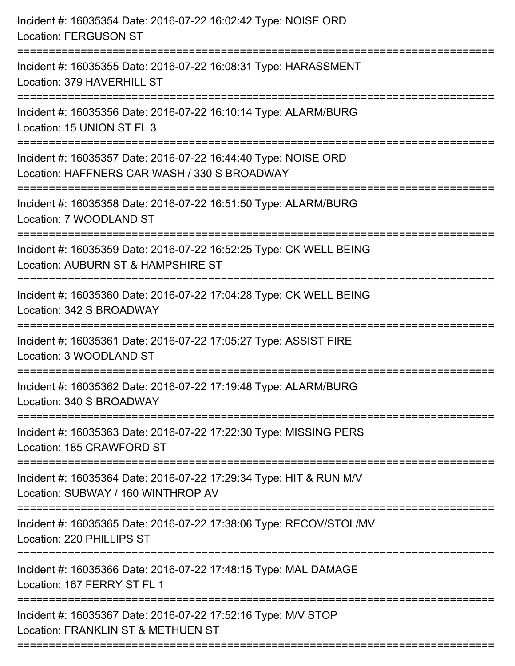| Incident #: 16035354 Date: 2016-07-22 16:02:42 Type: NOISE ORD<br><b>Location: FERGUSON ST</b>                                          |
|-----------------------------------------------------------------------------------------------------------------------------------------|
| Incident #: 16035355 Date: 2016-07-22 16:08:31 Type: HARASSMENT<br>Location: 379 HAVERHILL ST                                           |
| Incident #: 16035356 Date: 2016-07-22 16:10:14 Type: ALARM/BURG<br>Location: 15 UNION ST FL 3                                           |
| Incident #: 16035357 Date: 2016-07-22 16:44:40 Type: NOISE ORD<br>Location: HAFFNERS CAR WASH / 330 S BROADWAY<br>:==================== |
| Incident #: 16035358 Date: 2016-07-22 16:51:50 Type: ALARM/BURG<br>Location: 7 WOODLAND ST<br>:==============================           |
| Incident #: 16035359 Date: 2016-07-22 16:52:25 Type: CK WELL BEING<br>Location: AUBURN ST & HAMPSHIRE ST                                |
| Incident #: 16035360 Date: 2016-07-22 17:04:28 Type: CK WELL BEING<br>Location: 342 S BROADWAY                                          |
| Incident #: 16035361 Date: 2016-07-22 17:05:27 Type: ASSIST FIRE<br>Location: 3 WOODLAND ST                                             |
| Incident #: 16035362 Date: 2016-07-22 17:19:48 Type: ALARM/BURG<br>Location: 340 S BROADWAY                                             |
| Incident #: 16035363 Date: 2016-07-22 17:22:30 Type: MISSING PERS<br>Location: 185 CRAWFORD ST                                          |
| Incident #: 16035364 Date: 2016-07-22 17:29:34 Type: HIT & RUN M/V<br>Location: SUBWAY / 160 WINTHROP AV                                |
| Incident #: 16035365 Date: 2016-07-22 17:38:06 Type: RECOV/STOL/MV<br>Location: 220 PHILLIPS ST                                         |
| Incident #: 16035366 Date: 2016-07-22 17:48:15 Type: MAL DAMAGE<br>Location: 167 FERRY ST FL 1                                          |
| Incident #: 16035367 Date: 2016-07-22 17:52:16 Type: M/V STOP<br>Location: FRANKLIN ST & METHUEN ST                                     |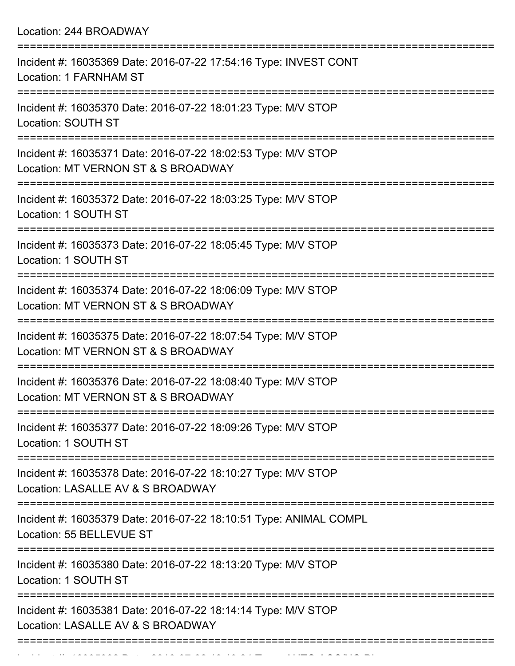Location: 244 BROADWAY

| Incident #: 16035369 Date: 2016-07-22 17:54:16 Type: INVEST CONT<br>Location: 1 FARNHAM ST                                 |
|----------------------------------------------------------------------------------------------------------------------------|
| Incident #: 16035370 Date: 2016-07-22 18:01:23 Type: M/V STOP<br>Location: SOUTH ST                                        |
| Incident #: 16035371 Date: 2016-07-22 18:02:53 Type: M/V STOP<br>Location: MT VERNON ST & S BROADWAY                       |
| Incident #: 16035372 Date: 2016-07-22 18:03:25 Type: M/V STOP<br>Location: 1 SOUTH ST                                      |
| Incident #: 16035373 Date: 2016-07-22 18:05:45 Type: M/V STOP<br>Location: 1 SOUTH ST<br>=========================         |
| Incident #: 16035374 Date: 2016-07-22 18:06:09 Type: M/V STOP<br>Location: MT VERNON ST & S BROADWAY                       |
| Incident #: 16035375 Date: 2016-07-22 18:07:54 Type: M/V STOP<br>Location: MT VERNON ST & S BROADWAY                       |
| Incident #: 16035376 Date: 2016-07-22 18:08:40 Type: M/V STOP<br>Location: MT VERNON ST & S BROADWAY                       |
| Incident #: 16035377 Date: 2016-07-22 18:09:26 Type: M/V STOP<br>Location: 1 SOUTH ST                                      |
| ====================<br>Incident #: 16035378 Date: 2016-07-22 18:10:27 Type: M/V STOP<br>Location: LASALLE AV & S BROADWAY |
| Incident #: 16035379 Date: 2016-07-22 18:10:51 Type: ANIMAL COMPL<br>Location: 55 BELLEVUE ST                              |
| Incident #: 16035380 Date: 2016-07-22 18:13:20 Type: M/V STOP<br>Location: 1 SOUTH ST                                      |
| Incident #: 16035381 Date: 2016-07-22 18:14:14 Type: M/V STOP<br>Location: LASALLE AV & S BROADWAY                         |
|                                                                                                                            |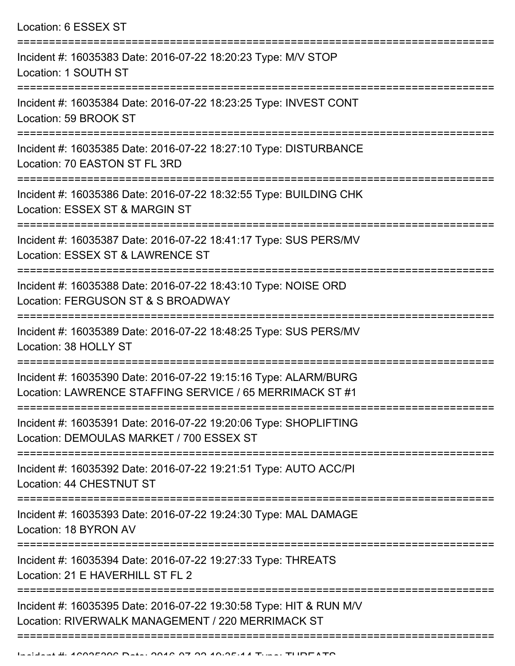| Location: 6 ESSEX ST                                                                                                          |
|-------------------------------------------------------------------------------------------------------------------------------|
| Incident #: 16035383 Date: 2016-07-22 18:20:23 Type: M/V STOP<br>Location: 1 SOUTH ST                                         |
| Incident #: 16035384 Date: 2016-07-22 18:23:25 Type: INVEST CONT<br>Location: 59 BROOK ST                                     |
| Incident #: 16035385 Date: 2016-07-22 18:27:10 Type: DISTURBANCE<br>Location: 70 EASTON ST FL 3RD                             |
| Incident #: 16035386 Date: 2016-07-22 18:32:55 Type: BUILDING CHK<br>Location: ESSEX ST & MARGIN ST<br>================       |
| Incident #: 16035387 Date: 2016-07-22 18:41:17 Type: SUS PERS/MV<br>Location: ESSEX ST & LAWRENCE ST                          |
| Incident #: 16035388 Date: 2016-07-22 18:43:10 Type: NOISE ORD<br>Location: FERGUSON ST & S BROADWAY<br>:==================== |
| Incident #: 16035389 Date: 2016-07-22 18:48:25 Type: SUS PERS/MV<br>Location: 38 HOLLY ST                                     |
| Incident #: 16035390 Date: 2016-07-22 19:15:16 Type: ALARM/BURG<br>Location: LAWRENCE STAFFING SERVICE / 65 MERRIMACK ST #1   |
| Incident #: 16035391 Date: 2016-07-22 19:20:06 Type: SHOPLIFTING<br>Location: DEMOULAS MARKET / 700 ESSEX ST                  |
| Incident #: 16035392 Date: 2016-07-22 19:21:51 Type: AUTO ACC/PI<br>Location: 44 CHESTNUT ST                                  |
| Incident #: 16035393 Date: 2016-07-22 19:24:30 Type: MAL DAMAGE<br>Location: 18 BYRON AV                                      |
| Incident #: 16035394 Date: 2016-07-22 19:27:33 Type: THREATS<br>Location: 21 E HAVERHILL ST FL 2                              |
| Incident #: 16035395 Date: 2016-07-22 19:30:58 Type: HIT & RUN M/V<br>Location: RIVERWALK MANAGEMENT / 220 MERRIMACK ST       |

===========================================================================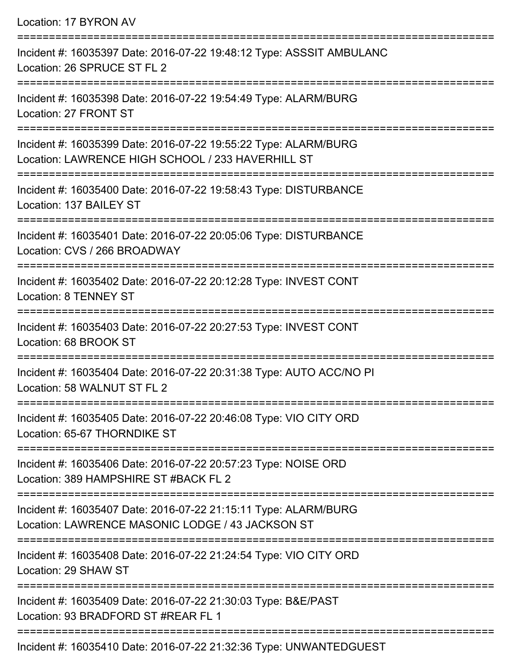| Location: 17 BYRON AV                                                                                                             |
|-----------------------------------------------------------------------------------------------------------------------------------|
| Incident #: 16035397 Date: 2016-07-22 19:48:12 Type: ASSSIT AMBULANC<br>Location: 26 SPRUCE ST FL 2                               |
| Incident #: 16035398 Date: 2016-07-22 19:54:49 Type: ALARM/BURG<br>Location: 27 FRONT ST<br>----------------------------------    |
| Incident #: 16035399 Date: 2016-07-22 19:55:22 Type: ALARM/BURG<br>Location: LAWRENCE HIGH SCHOOL / 233 HAVERHILL ST              |
| ==================================<br>Incident #: 16035400 Date: 2016-07-22 19:58:43 Type: DISTURBANCE<br>Location: 137 BAILEY ST |
| Incident #: 16035401 Date: 2016-07-22 20:05:06 Type: DISTURBANCE<br>Location: CVS / 266 BROADWAY                                  |
| Incident #: 16035402 Date: 2016-07-22 20:12:28 Type: INVEST CONT<br><b>Location: 8 TENNEY ST</b>                                  |
| Incident #: 16035403 Date: 2016-07-22 20:27:53 Type: INVEST CONT<br>Location: 68 BROOK ST                                         |
| Incident #: 16035404 Date: 2016-07-22 20:31:38 Type: AUTO ACC/NO PI<br>Location: 58 WALNUT ST FL 2                                |
| Incident #: 16035405 Date: 2016-07-22 20:46:08 Type: VIO CITY ORD<br>Location: 65-67 THORNDIKE ST                                 |
| Incident #: 16035406 Date: 2016-07-22 20:57:23 Type: NOISE ORD<br>Location: 389 HAMPSHIRE ST #BACK FL 2                           |
| Incident #: 16035407 Date: 2016-07-22 21:15:11 Type: ALARM/BURG<br>Location: LAWRENCE MASONIC LODGE / 43 JACKSON ST               |
| Incident #: 16035408 Date: 2016-07-22 21:24:54 Type: VIO CITY ORD<br>Location: 29 SHAW ST                                         |
| Incident #: 16035409 Date: 2016-07-22 21:30:03 Type: B&E/PAST<br>Location: 93 BRADFORD ST #REAR FL 1                              |
| 0.010, 07, 00, 01, 00, 00, T<br>$\overline{a}$ . I IN IN A LA NITER $\cap$ II                                                     |

Incident #: 16035410 Date: 2016-07-22 21:32:36 Type: UNWANTEDGUEST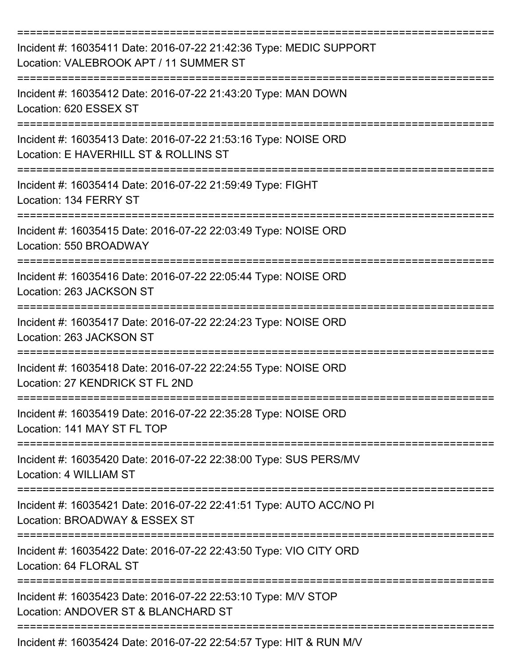| Incident #: 16035411 Date: 2016-07-22 21:42:36 Type: MEDIC SUPPORT<br>Location: VALEBROOK APT / 11 SUMMER ST<br>:=================== |
|--------------------------------------------------------------------------------------------------------------------------------------|
| Incident #: 16035412 Date: 2016-07-22 21:43:20 Type: MAN DOWN<br>Location: 620 ESSEX ST                                              |
| Incident #: 16035413 Date: 2016-07-22 21:53:16 Type: NOISE ORD<br>Location: E HAVERHILL ST & ROLLINS ST                              |
| Incident #: 16035414 Date: 2016-07-22 21:59:49 Type: FIGHT<br>Location: 134 FERRY ST                                                 |
| Incident #: 16035415 Date: 2016-07-22 22:03:49 Type: NOISE ORD<br>Location: 550 BROADWAY                                             |
| Incident #: 16035416 Date: 2016-07-22 22:05:44 Type: NOISE ORD<br>Location: 263 JACKSON ST                                           |
| Incident #: 16035417 Date: 2016-07-22 22:24:23 Type: NOISE ORD<br>Location: 263 JACKSON ST                                           |
| Incident #: 16035418 Date: 2016-07-22 22:24:55 Type: NOISE ORD<br>Location: 27 KENDRICK ST FL 2ND                                    |
| Incident #: 16035419 Date: 2016-07-22 22:35:28 Type: NOISE ORD<br>Location: 141 MAY ST FL TOP                                        |
| Incident #: 16035420 Date: 2016-07-22 22:38:00 Type: SUS PERS/MV<br>Location: 4 WILLIAM ST                                           |
| Incident #: 16035421 Date: 2016-07-22 22:41:51 Type: AUTO ACC/NO PI<br>Location: BROADWAY & ESSEX ST                                 |
| Incident #: 16035422 Date: 2016-07-22 22:43:50 Type: VIO CITY ORD<br>Location: 64 FLORAL ST                                          |
| Incident #: 16035423 Date: 2016-07-22 22:53:10 Type: M/V STOP<br>Location: ANDOVER ST & BLANCHARD ST                                 |
| Incident #: 16035424 Date: 2016-07-22 22:54:57 Type: HIT & RUN M/V                                                                   |